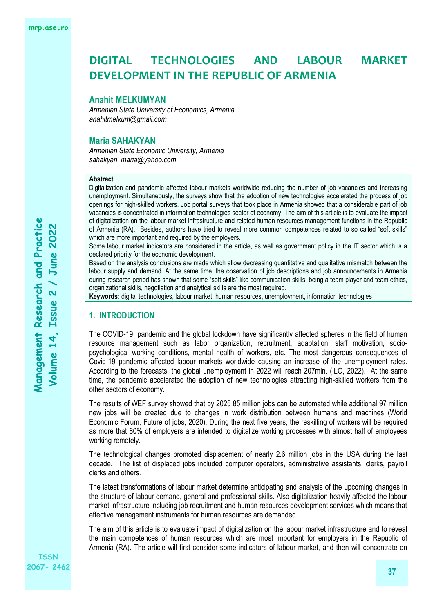#### **Anahit MELKUMYAN**

*Armenian State University of Economics, Armenia anahitmelkum@gmail.com*

### **Maria SAHAKYAN**

*Armenian State Economic University, Armenia sahakyan\_maria@yahoo.com*

### **Abstract**

Digitalization and pandemic affected labour markets worldwide reducing the number of job vacancies and increasing unemployment. Simultaneously, the surveys show that the adoption of new technologies accelerated the process of job openings for high-skilled workers. Job portal surveys that took place in Armenia showed that a considerable part of job vacancies is concentrated in information technologies sector of economy. The aim of this article is to evaluate the impact of digitalization on the labour market infrastructure and related human resources management functions in the Republic of Armenia (RA). Besides, authors have tried to reveal more common competences related to so called "soft skills" which are more important and required by the employers.

Some labour market indicators are considered in the article, as well as government policy in the IT sector which is a declared priority for the economic development.

Based on the analysis conclusions are made which allow decreasing quantitative and qualitative mismatch between the labour supply and demand. At the same time, the observation of job descriptions and job announcements in Armenia during research period has shown that some "soft skills" like communication skills, being a team player and team ethics, organizational skills, negotiation and analytical skills are the most required.

**Keywords:** digital technologies, labour market, human resources, unemployment, information technologies

# **1. INTRODUCTION**

The COVID-19 pandemic and the global lockdown have significantly affected spheres in the field of human resource management such as labor organization, recruitment, adaptation, staff motivation, sociopsychological working conditions, mental health of workers, etc. The most dangerous consequences of Covid-19 pandemic affected labour markets worldwide causing an increase of the unemployment rates. According to the forecasts, the global unemployment in 2022 will reach 207mln. (ILO, 2022). At the same time, the pandemic accelerated the adoption of new technologies attracting high-skilled workers from the other sectors of economy.

The results of WEF survey showed that by 2025 85 million jobs can be automated while additional 97 million new jobs will be created due to changes in work distribution between humans and machines (World Economic Forum, Future of jobs, 2020). During the next five years, the reskilling of workers will be required as more that 80% of employers are intended to digitalize working processes with almost half of employees working remotely.

The technological changes promoted displacement of nearly 2.6 million jobs in the USA during the last decade. The list of displaced jobs included computer operators, administrative assistants, clerks, payroll clerks and others.

The latest transformations of labour market determine anticipating and analysis of the upcoming changes in the structure of labour demand, general and professional skills. Also digitalization heavily affected the labour market infrastructure including job recruitment and human resources development services which means that effective management instruments for human resources are demanded.

The aim of this article is to evaluate impact of digitalization on the labour market infrastructure and to reveal the main competences of human resources which are most important for employers in the Republic of Armenia (RA). The article will first consider some indicators of labour market, and then will concentrate on

**ISSN 2067- 2462**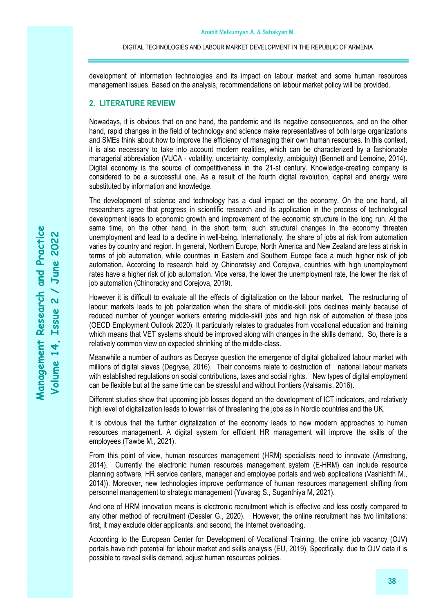development of information technologies and its impact on labour market and some human resources management issues. Based on the analysis, recommendations on labour market policy will be provided.

# **2. LITERATURE REVIEW**

Nowadays, it is obvious that on one hand, the pandemic and its negative consequences, and on the other hand, rapid changes in the field of technology and science make representatives of both large organizations and SMEs think about how to improve the efficiency of managing their own human resources. In this context, it is also necessary to take into account modern realities, which can be characterized by a fashionable managerial abbreviation (VUCA - volatility, uncertainty, complexity, ambiguity) (Bennett and Lemoine, 2014). Digital economy is the source of competitiveness in the 21-st century. Knowledge-creating company is considered to be a successful one. As a result of the fourth digital revolution, capital and energy were substituted by information and knowledge.

The development of science and technology has a dual impact on the economy. On the one hand, all researchers agree that progress in scientific research and its application in the process of technological development leads to economic growth and improvement of the economic structure in the long run. At the same time, on the other hand, in the short term, such structural changes in the economy threaten unemployment and lead to a decline in well-being. Internationally, the share of jobs at risk from automation varies by country and region. In general, Northern Europe, North America and New Zealand are less at risk in terms of job automation, while countries in Eastern and Southern Europe face a much higher risk of job automation. According to research held by Chinoratsky and Corejova, countries with high unemployment rates have a higher risk of job automation. Vice versa, the lower the unemployment rate, the lower the risk of job automation (Chinoracky and Corejova, 2019).

However it is difficult to evaluate all the effects of digitalization on the labour market. The restructuring of labour markets leads to job polarization when the share of middle-skill jobs declines mainly because of reduced number of younger workers entering middle-skill jobs and high risk of automation of these jobs (OECD Employment Outlook 2020). It particularly relates to graduates from vocational education and training which means that VET systems should be improved along with changes in the skills demand. So, there is a relatively common view on expected shrinking of the middle-class.

Meanwhile a number of authors as Decryse question the emergence of digital globalized labour market with millions of digital slaves (Degryse, 2016). Their concerns relate to destruction of national labour markets with established regulations on social contributions, taxes and social rights. New types of digital employment can be flexible but at the same time can be stressful and without frontiers (Valsamis, 2016).

Different studies show that upcoming job losses depend on the development of ICT indicators, and relatively high level of digitalization leads to lower risk of threatening the jobs as in Nordic countries and the UK.

It is obvious that the further digitalization of the economy leads to new modern approaches to human resources management. A digital system for efficient HR management will improve the skills of the employees (Tawbe M., 2021).

From this point of view, human resources management (HRM) specialists need to innovate (Armstrong, 2014). Currently the electronic human resources management system (E-HRM) can include resource planning software, HR service centers, manager and employee portals and web applications (Vashishth M., 2014)). Moreover, new technologies improve performance of human resources management shifting from personnel management to strategic management (Yuvarag S., Suganthiya M, 2021).

And one of HRM innovation means is electronic recruitment which is effective and less costly compared to any other method of recruitment (Dessler G., 2020). However, the online recruitment has two limitations: first, it may exclude older applicants, and second, the Internet overloading.

According to the European Center for Development of Vocational Training, the online job vacancy (OJV) portals have rich potential for labour market and skills analysis (EU, 2019). Specifically. due to OJV data it is possible to reveal skills demand, adjust human resources policies.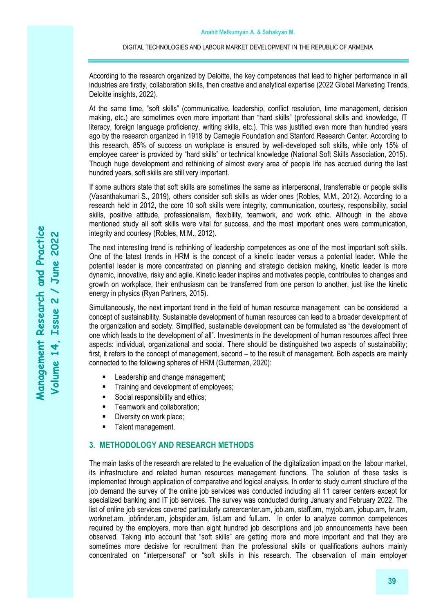According to the research organized by Deloitte, the key competences that lead to higher performance in all industries are firstly, collaboration skills, then creative and analytical expertise (2022 Global Marketing Trends, Deloitte insights, 2022).

At the same time, "soft skills" (communicative, leadership, conflict resolution, time management, decision making, etc.) are sometimes even more important than "hard skills" (professional skills and knowledge, IT literacy, foreign language proficiency, writing skills, etc.). This was justified even more than hundred years ago by the research organized in 1918 by Carnegie Foundation and Stanford Research Center. According to this research, 85% of success on workplace is ensured by well-developed soft skills, while only 15% of employee career is provided by "hard skills" or technical knowledge (National Soft Skills Association, 2015). Though huge development and rethinking of almost every area of people life has accrued during the last hundred years, soft skills are still very important.

If some authors state that soft skills are sometimes the same as interpersonal, transferrable or people skills (Vasanthakumari S., 2019), others consider soft skills as wider ones (Robles, M.M., 2012). According to a research held in 2012, the core 10 soft skills were integrity, communication, courtesy, responsibility, social skills, positive attitude, professionalism, flexibility, teamwork, and work ethic. Although in the above mentioned study all soft skills were vital for success, and the most important ones were communication, integrity and courtesy (Robles, M.M., 2012).

The next interesting trend is rethinking of leadership competences as one of the most important soft skills. One of the latest trends in HRM is the concept of a kinetic leader versus a potential leader. While the potential leader is more concentrated on planning and strategic decision making, kinetic leader is more dynamic, innovative, risky and agile. Kinetic leader inspires and motivates people, contributes to changes and growth on workplace, their enthusiasm can be transferred from one person to another, just like the kinetic energy in physics (Ryan Partners, 2015).

Simultaneously, the next important trend in the field of human resource management can be considered a concept of sustainability. Sustainable development of human resources can lead to a broader development of the organization and society. Simplified, sustainable development can be formulated as "the development of one which leads to the development of all". Investments in the development of human resources affect three aspects: individual, organizational and social. There should be distinguished two aspects of sustainability; first, it refers to the concept of management, second – to the result of management. Both aspects are mainly connected to the following spheres of HRM (Gutterman, 2020):

- Leadership and change management;
- **■** Training and development of employees;
- Social responsibility and ethics;
- Teamwork and collaboration;
- Diversity on work place;
- **•** Talent management.

# **3. METHODOLOGY AND RESEARCH METHODS**

The main tasks of the research are related to the evaluation of the digitalization impact on the labour market, its infrastructure and related human resources management functions. The solution of these tasks is implemented through application of comparative and logical analysis. In order to study current structure of the job demand the survey of the online job services was conducted including all 11 career centers except for specialized banking and IT job services. The survey was conducted during January and February 2022. The list of online job services covered particularly careercenter.am, job.am, staff.am, myjob.am, jobup.am, hr.am, worknet.am, jobfinder.am, jobspider.am, list.am and full.am. In order to analyze common competences required by the employers, more than eight hundred job descriptions and job announcements have been observed. Taking into account that "soft skills" are getting more and more important and that they are sometimes more decisive for recruitment than the professional skills or qualifications authors mainly concentrated on "interpersonal" or "soft skills in this research. The observation of main employer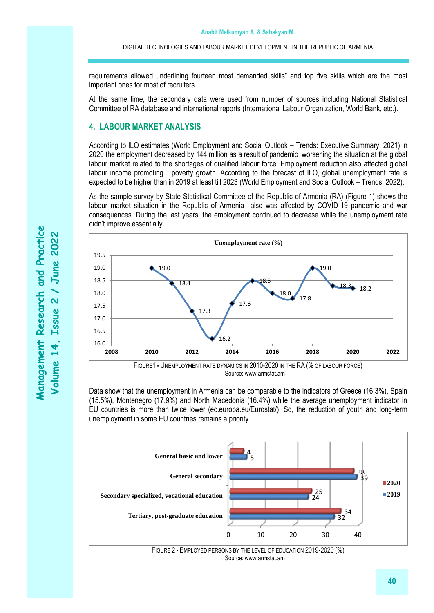requirements allowed underlining fourteen most demanded skills" and top five skills which are the most important ones for most of recruiters.

At the same time, the secondary data were used from number of sources including National Statistical Committee of RA database and international reports (International Labour Organization, World Bank, etc.).

# **4. LABOUR MARKET ANALYSIS**

According to ILO estimates (World Employment and Social Outlook – Trends: Executive Summary, 2021) in 2020 the employment decreased by 144 million as a result of pandemic worsening the situation at the global labour market related to the shortages of qualified labour force. Employment reduction also affected global labour income promoting poverty growth. According to the forecast of ILO, global unemployment rate is expected to be higher than in 2019 at least till 2023 (World Employment and Social Outlook – Trends, 2022).

As the sample survey by State Statistical Committee of the Republic of Armenia (RA) (Figure 1) shows the labour market situation in the Republic of Armenia also was affected by COVID-19 pandemic and war consequences. During the last years, the employment continued to decrease while the unemployment rate didn't improve essentially.



Source: www.armstat.am

Data show that the unemployment in Armenia can be comparable to the indicators of Greece (16.3%), Spain (15.5%), Montenegro (17.9%) and North Macedonia (16.4%) while the average unemployment indicator in EU countries is more than twice lower (ec.europa.eu/Eurostat/). So, the reduction of youth and long-term unemployment in some EU countries remains a priority.



FIGURE 2 - EMPLOYED PERSONS BY THE LEVEL OF EDUCATION 2019-2020 (%) Source: www.armstat.am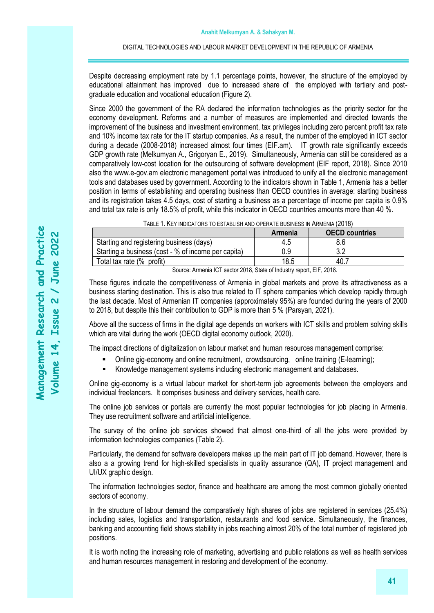Despite decreasing employment rate by 1.1 percentage points, however, the structure of the employed by educational attainment has improved due to increased share of the employed with tertiary and postgraduate education and vocational education (Figure 2).

Since 2000 the government of the RA declared the information technologies as the priority sector for the economy development. Reforms and a number of measures are implemented and directed towards the improvement of the business and investment environment, tax privileges including zero percent profit tax rate and 10% income tax rate for the IT startup companies. As a result, the number of the employed in ICT sector during a decade (2008-2018) increased almost four times (EIF.am). IT growth rate significantly exceeds GDP growth rate (Melkumyan A., Grigoryan E., 2019). Simultaneously, Armenia can still be considered as a comparatively low-cost location for the outsourcing of software development (EIF report, 2018). Since 2010 also the www.e-gov.am electronic management portal was introduced to unify all the electronic management tools and databases used by government. According to the indicators shown in Table 1, Armenia has a better position in terms of establishing and operating business than OECD countries in average: starting business and its registration takes 4.5 days, cost of starting a business as a percentage of income per capita is 0.9% and total tax rate is only 18.5% of profit, while this indicator in OECD countries amounts more than 40 %.

|                                                     | Armenia | <b>OECD countries</b> |  |  |  |  |  |
|-----------------------------------------------------|---------|-----------------------|--|--|--|--|--|
| Starting and registering business (days)            | 4.5     |                       |  |  |  |  |  |
| Starting a business (cost - % of income per capita) | 0.9     |                       |  |  |  |  |  |
| Total tax rate (% profit)                           | 18.5    | 40.                   |  |  |  |  |  |
| ______                                              |         | ____ _ _ _            |  |  |  |  |  |

TABLE 1. KEY INDICATORS TO ESTABLISH AND OPERATE BUSINESS IN ARMENIA (2018)

Source: Armenia ICT sector 2018, State of Industry report, EIF, 2018.

These figures indicate the competitiveness of Armenia in global markets and prove its attractiveness as a business starting destination. This is also true related to IT sphere companies which develop rapidly through the last decade. Most of Armenian IT companies (approximately 95%) are founded during the years of 2000 to 2018, but despite this their contribution to GDP is more than 5 % (Parsyan, 2021).

Above all the success of firms in the digital age depends on workers with ICT skills and problem solving skills which are vital during the work (OECD digital economy outlook, 2020).

The impact directions of digitalization on labour market and human resources management comprise:

- Online gig-economy and online recruitment, crowdsourcing, online training (E-learning);
- Knowledge management systems including electronic management and databases.

Online gig-economy is a virtual labour market for short-term job agreements between the employers and individual freelancers. It comprises business and delivery services, health care.

The online job services or portals are currently the most popular technologies for job placing in Armenia. They use recruitment software and artificial intelligence.

The survey of the online job services showed that almost one-third of all the jobs were provided by information technologies companies (Table 2).

Particularly, the demand for software developers makes up the main part of IT job demand. However, there is also a a growing trend for high-skilled specialists in quality assurance (QA), IT project management and UI/UX graphic design.

The information technologies sector, finance and healthcare are among the most common globally oriented sectors of economy.

In the structure of labour demand the comparatively high shares of jobs are registered in services (25.4%) including sales, logistics and transportation, restaurants and food service. Simultaneously, the finances, banking and accounting field shows stability in jobs reaching almost 20% of the total number of registered job positions.

It is worth noting the increasing role of marketing, advertising and public relations as well as health services and human resources management in restoring and development of the economy.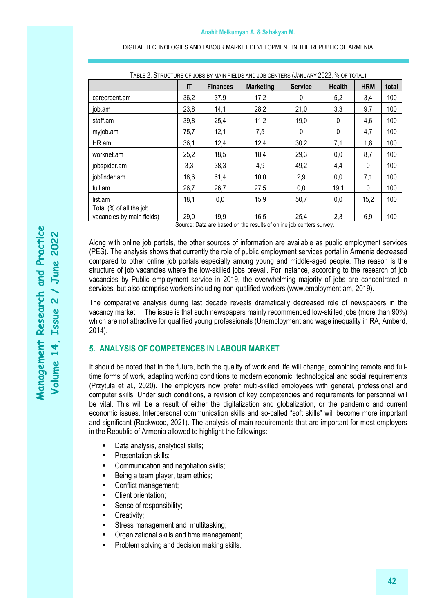| TABLE 2. STRUCTURE OF JOBS BY MAIN FIELDS AND JOB CENTERS (JANUARY 2022, % OF TOTAL) |      |                 |                  |                |               |            |       |  |  |
|--------------------------------------------------------------------------------------|------|-----------------|------------------|----------------|---------------|------------|-------|--|--|
|                                                                                      | IT   | <b>Finances</b> | <b>Marketing</b> | <b>Service</b> | <b>Health</b> | <b>HRM</b> | total |  |  |
| careercent.am                                                                        | 36,2 | 37,9            | 17,2             | 0              | 5,2           | 3,4        | 100   |  |  |
| job.am                                                                               | 23,8 | 14,1            | 28,2             | 21,0           | 3,3           | 9,7        | 100   |  |  |
| staff.am                                                                             | 39,8 | 25,4            | 11,2             | 19,0           | 0             | 4,6        | 100   |  |  |
| myjob.am                                                                             | 75,7 | 12,1            | 7,5              | 0              | 0             | 4,7        | 100   |  |  |
| HR.am                                                                                | 36,1 | 12,4            | 12,4             | 30,2           | 7,1           | 1,8        | 100   |  |  |
| worknet.am                                                                           | 25,2 | 18,5            | 18,4             | 29,3           | 0,0           | 8,7        | 100   |  |  |
| jobspider.am                                                                         | 3,3  | 38,3            | 4,9              | 49,2           | 4,4           | 0          | 100   |  |  |
| jobfinder.am                                                                         | 18,6 | 61,4            | 10,0             | 2,9            | 0,0           | 7,1        | 100   |  |  |
| full.am                                                                              | 26,7 | 26,7            | 27,5             | 0,0            | 19,1          | 0          | 100   |  |  |
| list.am                                                                              | 18,1 | 0,0             | 15,9             | 50,7           | 0,0           | 15,2       | 100   |  |  |
| Total (% of all the job<br>vacancies by main fields)                                 | 29,0 | 19,9            | 16,5             | 25,4           | 2,3           | 6,9        | 100   |  |  |

Source: Data are based on the results of online job centers survey.

Along with online job portals, the other sources of information are available as public employment services (PES). The analysis shows that currently the role of public employment services portal in Armenia decreased compared to other online job portals especially among young and middle-aged people. The reason is the structure of job vacancies where the low-skilled jobs prevail. For instance, according to the research of job vacancies by Public employment service in 2019, the overwhelming majority of jobs are concentrated in services, but also comprise workers including non-qualified workers (www.employment.am, 2019).

The comparative analysis during last decade reveals dramatically decreased role of newspapers in the vacancy market. The issue is that such newspapers mainly recommended low-skilled jobs (more than 90%) which are not attractive for qualified young professionals (Unemployment and wage inequality in RA, Amberd, 2014).

# **5. ANALYSIS OF COMPETENCES IN LABOUR MARKET**

It should be noted that in the future, both the quality of work and life will change, combining remote and fulltime forms of work, adapting working conditions to modern economic, technological and social requirements (Przytuła et al., 2020). The employers now prefer multi-skilled employees with general, professional and computer skills. Under such conditions, a revision of key competencies and requirements for personnel will be vital. This will be a result of either the digitalization and globalization, or the pandemic and current economic issues. Interpersonal communication skills and so-called "soft skills" will become more important and significant (Rockwood, 2021). The analysis of main requirements that are important for most employers in the Republic of Armenia allowed to highlight the followings:

- Data analysis, analytical skills;
- **•** Presentation skills:
- **Communication and negotiation skills;**
- Being a team player, team ethics;
- Conflict management;
- Client orientation;
- **EXEC** Sense of responsibility;
- Creativity:
- Stress management and multitasking;
- **•** Organizational skills and time management;
- Problem solving and decision making skills.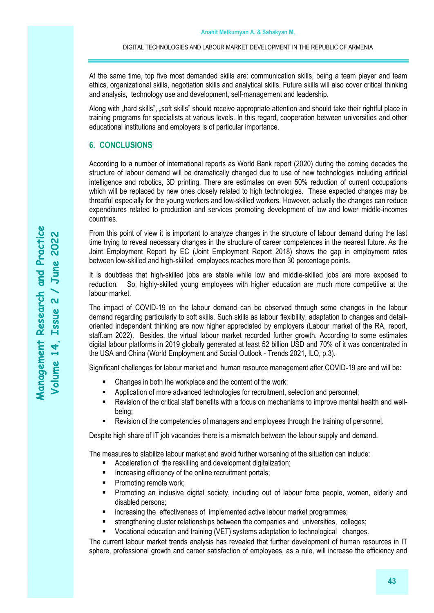At the same time, top five most demanded skills are: communication skills, being a team player and team ethics, organizational skills, negotiation skills and analytical skills. Future skills will also cover critical thinking and analysis, technology use and development, self-management and leadership.

Along with "hard skills", "soft skills" should receive appropriate attention and should take their rightful place in training programs for specialists at various levels. In this regard, cooperation between universities and other educational institutions and employers is of particular importance.

# **6. CONCLUSIONS**

According to a number of international reports as World Bank report (2020) during the coming decades the structure of labour demand will be dramatically changed due to use of new technologies including artificial intelligence and robotics, 3D printing. There are estimates on even 50% reduction of current occupations which will be replaced by new ones closely related to high technologies. These expected changes may be threatful especially for the young workers and low-skilled workers. However, actually the changes can reduce expenditures related to production and services promoting development of low and lower middle-incomes countries.

From this point of view it is important to analyze changes in the structure of labour demand during the last time trying to reveal necessary changes in the structure of career competences in the nearest future. As the Joint Employment Report by EC (Joint Employment Report 2018) shows the gap in employment rates between low-skilled and high-skilled employees reaches more than 30 percentage points.

It is doubtless that high-skilled jobs are stable while low and middle-skilled jobs are more exposed to reduction. So, highly-skilled young employees with higher education are much more competitive at the labour market.

The impact of COVID-19 on the labour demand can be observed through some changes in the labour demand regarding particularly to soft skills. Such skills as labour flexibility, adaptation to changes and detailoriented independent thinking are now higher appreciated by employers (Labour market of the RA, report, staff.am 2022). Besides, the virtual labour market recorded further growth. According to some estimates digital labour platforms in 2019 globally generated at least 52 billion USD and 70% of it was concentrated in the USA and China (World Employment and Social Outlook - Trends 2021, ILO, p.3).

Significant challenges for labour market and human resource management after COVID-19 are and will be:

- Changes in both the workplace and the content of the work;
- Application of more advanced technologies for recruitment, selection and personnel;
- Revision of the critical staff benefits with a focus on mechanisms to improve mental health and wellbeing;
- Revision of the competencies of managers and employees through the training of personnel.

Despite high share of IT job vacancies there is a mismatch between the labour supply and demand.

The measures to stabilize labour market and avoid further worsening of the situation can include:

- Acceleration of the reskilling and development digitalization;
- **■** Increasing efficiency of the online recruitment portals;
- Promoting remote work;
- Promoting an inclusive digital society, including out of labour force people, women, elderly and disabled persons;
- **EXEDENT** increasing the effectiveness of implemented active labour market programmes;
- **EXECTED** strengthening cluster relationships between the companies and universities, colleges;
- Vocational education and training (VET) systems adaptation to technological changes.

The current labour market trends analysis has revealed that further development of human resources in IT sphere, professional growth and career satisfaction of employees, as a rule, will increase the efficiency and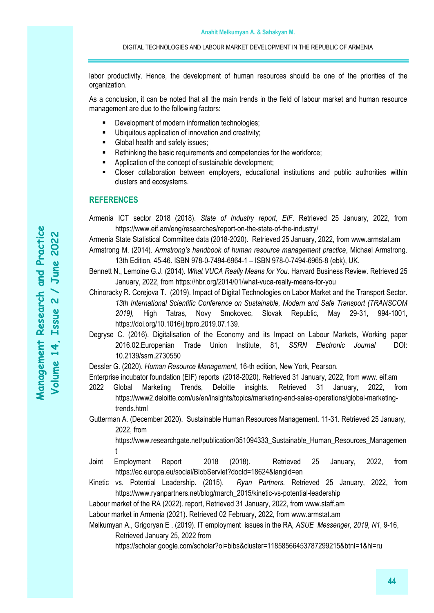labor productivity. Hence, the development of human resources should be one of the priorities of the organization.

As a conclusion, it can be noted that all the main trends in the field of labour market and human resource management are due to the following factors:

- Development of modern information technologies;
- Ubiquitous application of innovation and creativity;
- Global health and safety issues:
- Rethinking the basic requirements and competencies for the workforce;
- Application of the concept of sustainable development;
- Closer collaboration between employers, educational institutions and public authorities within clusters and ecosystems.

# **REFERENCES**

Armenia ICT sector 2018 (2018). *State of Industry report, EIF*. Retrieved 25 January, 2022, from https://www.eif.am/eng/researches/report-on-the-state-of-the-industry/

Armenia State Statistical Committee data (2018-2020). Retrieved 25 January, 2022, from www.armstat.am Armstrong M. (2014). *Armstrong's handbook of human resource management practice*, Michael Armstrong.

13th Edition, 45-46. ISBN 978-0-7494-6964-1 – ISBN 978-0-7494-6965-8 (ebk), UK.

Bennett N., Lemoine G.J. (2014). *What VUCA Really Means for You*. Harvard Business Review. Retrieved 25 January, 2022, from https://hbr.org/2014/01/what-vuca-really-means-for-you

Chinoracky R. Corejova T. (2019). Impact of Digital Technologies on Labor Market and the Transport Sector. *13th International Scientific Conference on Sustainable, Modern and Safe Transport (TRANSCOM 2019),* High Tatras, Novy Smokovec, Slovak Republic, May 29-31, 994-1001, https://doi.org/10.1016/j.trpro.2019.07.139.

Degryse C. (2016). Digitalisation of the Economy and its Impact on Labour Markets, Working paper 2016.02.Europenian Trade Union Institute, 81, *[SSRN Electronic Journal](https://www.researchgate.net/journal/SSRN-Electronic-Journal-1556-5068)* DOI: [10.2139/ssrn.2730550](http://dx.doi.org/10.2139/ssrn.2730550)

Dessler G. (2020). *Human Resource Management*, 16-th edition, New York, Pearson.

Enterprise incubator foundation (EIF) reports (2018-2020). Retrieved 31 January, 2022, from www. eif.am

- 2022 Global Marketing Trends, Deloitte insights. Retrieved 31 January, 2022, from https://www2.deloitte.com/us/en/insights/topics/marketing-and-sales-operations/global-marketingtrends.html
- Gutterman A. (December 2020). Sustainable Human Resources Management. 11-31. Retrieved 25 January, 2022, from

https://www.researchgate.net/publication/351094333\_Sustainable\_Human\_Resources\_Managemen t

Joint Employment Report 2018 (2018). Retrieved 25 January, 2022, from <https://ec.europa.eu/social/BlobServlet?docId=18624&langId=en>

Kinetic vs. Potential Leadership. (2015). *Ryan Partners.* Retrieved 25 January, 2022, from https://www.ryanpartners.net/blog/march\_2015/kinetic-vs-potential-leadership

Labour market of the RA (2022). report, Retrieved 31 January, 2022, from www.staff.am

Labour market in Armenia (2021). Retrieved 02 February, 2022, from www.armstat.am

Melkumyan A., Grigoryan E . (2019). IT employment issues in the RA*, ASUE Messenger, 2019, N1*, 9-16, Retrieved January 25, 2022 from

<https://scholar.google.com/scholar?oi=bibs&cluster=11858566453787299215&btnI=1&hl=ru>